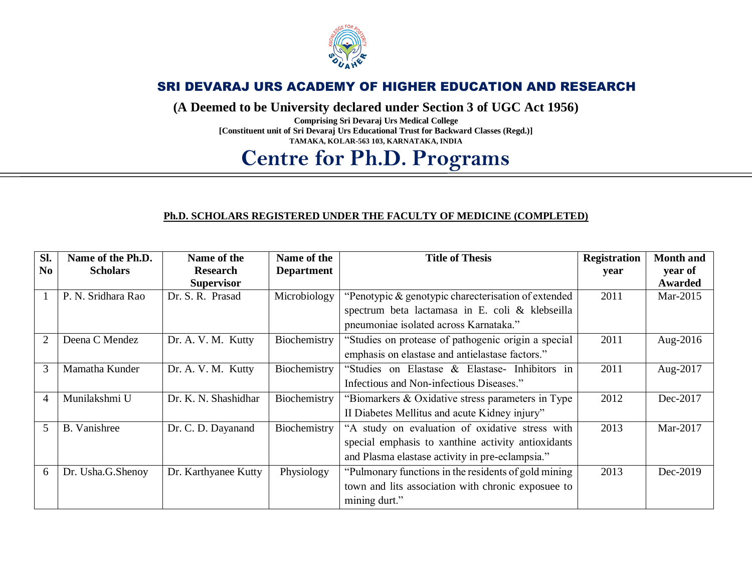

### SRI DEVARAJ URS ACADEMY OF HIGHER EDUCATION AND RESEARCH

**(A Deemed to be University declared under Section 3 of UGC Act 1956)**

**Comprising Sri Devaraj Urs Medical College [Constituent unit of Sri Devaraj Urs Educational Trust for Backward Classes (Regd.)] TAMAKA, KOLAR-563 103, KARNATAKA, INDIA**

# **Centre for Ph.D. Programs**

#### **Ph.D. SCHOLARS REGISTERED UNDER THE FACULTY OF MEDICINE (COMPLETED)**

| Sl.            | Name of the Ph.D.   | Name of the          | Name of the       | <b>Title of Thesis</b>                                | <b>Registration</b> | <b>Month and</b> |
|----------------|---------------------|----------------------|-------------------|-------------------------------------------------------|---------------------|------------------|
| No             | <b>Scholars</b>     | <b>Research</b>      | <b>Department</b> |                                                       | year                | year of          |
|                |                     | <b>Supervisor</b>    |                   |                                                       |                     | <b>Awarded</b>   |
|                | P. N. Sridhara Rao  | Dr. S. R. Prasad     | Microbiology      | "Penotypic & genotypic charecterisation of extended   | 2011                | Mar-2015         |
|                |                     |                      |                   | spectrum beta lactamasa in E. coli & klebseilla       |                     |                  |
|                |                     |                      |                   | pneumoniae isolated across Karnataka."                |                     |                  |
| $\overline{2}$ | Deena C Mendez      | Dr. A. V. M. Kutty   | Biochemistry      | "Studies on protease of pathogenic origin a special   | 2011                | Aug-2016         |
|                |                     |                      |                   | emphasis on elastase and antielastase factors."       |                     |                  |
| 3              | Mamatha Kunder      | Dr. A. V. M. Kutty   | Biochemistry      | "Studies on Elastase & Elastase- Inhibitors in        | 2011                | Aug-2017         |
|                |                     |                      |                   | Infectious and Non-infectious Diseases."              |                     |                  |
| $\overline{4}$ | Munilakshmi U       | Dr. K. N. Shashidhar | Biochemistry      | "Biomarkers & Oxidative stress parameters in Type     | 2012                | Dec-2017         |
|                |                     |                      |                   | II Diabetes Mellitus and acute Kidney injury"         |                     |                  |
| 5              | <b>B.</b> Vanishree | Dr. C. D. Dayanand   | Biochemistry      | "A study on evaluation of oxidative stress with       | 2013                | Mar-2017         |
|                |                     |                      |                   | special emphasis to xanthine activity antioxidants    |                     |                  |
|                |                     |                      |                   | and Plasma elastase activity in pre-eclampsia."       |                     |                  |
| 6              | Dr. Usha.G.Shenoy   | Dr. Karthyanee Kutty | Physiology        | "Pulmonary functions in the residents of gold mining" | 2013                | Dec-2019         |
|                |                     |                      |                   | town and lits association with chronic exposuee to    |                     |                  |
|                |                     |                      |                   | mining durt."                                         |                     |                  |